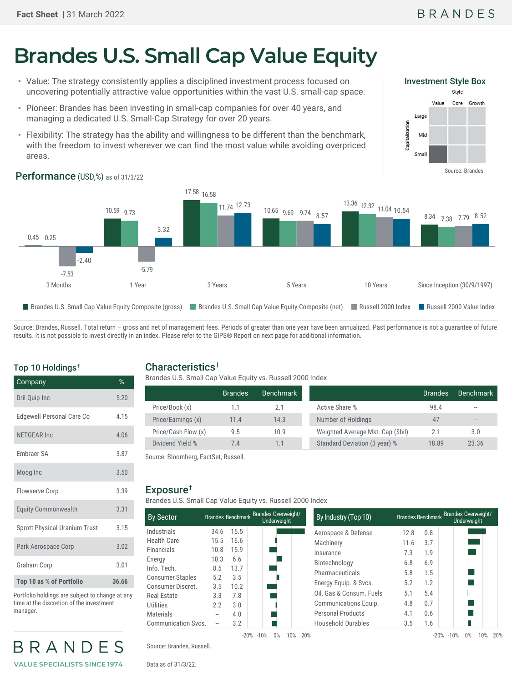# **Brandes U.S. Small Cap Value Equity**

- Value: The strategy consistently applies a disciplined investment process focused on uncovering potentially attractive value opportunities within the vast U.S. small-cap space.
- Pioneer: Brandes has been investing in small-cap companies for over 40 years, and managing a dedicated U.S. Small-Cap Strategy for over 20 years.
- Flexibility: The strategy has the ability and willingness to be different than the benchmark, with the freedom to invest wherever we can find the most value while avoiding overpriced areas.



#### 0.45 0.25 10.59 9.73 17.58 16.58 10.65 9.69 9.74  $\overline{)57}$  13.36 12.32 11.04 10.54 8.34 7.38 7.79 8.52 -7.53 -5.79 11.74 12.73 -2.40 3.32 8.57 3 Months 2012 1 Year 1 Year 3 Years 5 Years 5 Years 10 Years Since Inception (30/9/1997) ■ Brandes U.S. Small Cap Value Equity Composite (gross) ■ Brandes U.S. Small Cap Value Equity Composite (net) ■ Russell 2000 Index ■ Russell 2000 Value Index

Source: Brandes, Russell. Total return - gross and net of management fees. Periods of greater than one year have been annualized. Past performance is not a guarantee of future results. It is not possible to invest directly in an index. Please refer to the GIPS® Report on next page for additional information.

## Top 10 Holdings†

| Company                              | %     |
|--------------------------------------|-------|
| Dril-Quip Inc                        | 5.20  |
| <b>Edgewell Personal Care Co</b>     | 4.15  |
| <b>NETGEAR Inc</b>                   | 4.06  |
| <b>Embraer SA</b>                    | 3.87  |
| Moog Inc                             | 3.50  |
| <b>Flowserve Corp</b>                | 3.39  |
| <b>Equity Commonwealth</b>           | 3.31  |
| <b>Sprott Physical Uranium Trust</b> | 3.15  |
| Park Aerospace Corp                  | 3.02  |
| <b>Graham Corp</b>                   | 3.01  |
| Top 10 as % of Portfolio             | 36.66 |

Portfolio holdings are subject to change at any time at the discretion of the investment manager.

BRANDES **VALUE SPECIALISTS SINCE 1974**

## Characteristics†

Brandes U.S. Small Cap Value Equity vs. Russell 2000 Index

|                     | <b>Brandes</b> | Benchmark |                                   | <b>Brandes</b> | <b>Benchmark</b> |
|---------------------|----------------|-----------|-----------------------------------|----------------|------------------|
| Price/Book (x)      |                |           | Active Share %                    | 98.4           | $-1$             |
| Price/Earnings (x)  | 11.4           | 14.3      | Number of Holdings                | 47             | $- -$            |
| Price/Cash Flow (x) | 9.5            | 10.9      | Weighted Average Mkt. Cap (\$bil) | 2.1            | 3.0              |
| Dividend Yield %    | 7.4            |           | Standard Deviation (3 year) %     | 18.89          | 23.36            |

Source: Bloomberg, FactSet, Russell.

#### Exposure†

Brandes U.S. Small Cap Value Equity vs. Russell 2000 Index

| <b>By Sector</b>           |      |      | Brandes Benchmark Brandes Overweight/<br><b>Underweight</b> | By Industry (Top 10)      |
|----------------------------|------|------|-------------------------------------------------------------|---------------------------|
| Industrials                | 34.6 | 15.5 |                                                             | Aerospace & Defense       |
| <b>Health Care</b>         | 15.5 | 16.6 |                                                             | Machinery                 |
| <b>Financials</b>          | 10.8 | 15.9 |                                                             | Insurance                 |
| Energy                     | 10.3 | 6.6  |                                                             | Biotechnology             |
| Info. Tech.                | 8.5  | 13.7 |                                                             | Pharmaceuticals           |
| <b>Consumer Staples</b>    | 5.2  | 3.5  |                                                             |                           |
| Consumer Discret.          | 3.5  | 10.2 |                                                             | Energy Equip. & Svcs      |
| Real Estate                | 3.3  | 7.8  |                                                             | Oil. Gas & Consum. F      |
| Utilities                  | 2.2  | 3.0  |                                                             | <b>Communications Equ</b> |
| <b>Materials</b>           |      | 4.0  |                                                             | <b>Personal Products</b>  |
| <b>Communication Svcs.</b> |      | 3.2  |                                                             | Household Durables        |
|                            |      |      | -20% -10%<br>በ%<br>1በ%                                      | 20%                       |

| Source: Brandes, Russell. |  |
|---------------------------|--|

Data as of 31/3/22.

|      | <b>Underweight</b> | By Industry (Top 10)                  |                                                                                       |                          | Brandes Benchmark Brandes Overweight/<br>Underweight |
|------|--------------------|---------------------------------------|---------------------------------------------------------------------------------------|--------------------------|------------------------------------------------------|
| 15.5 |                    | Aerospace & Defense                   | 12.8                                                                                  | 0.8                      |                                                      |
| 16.6 |                    | Machinery                             | 11.6                                                                                  | 3.7                      |                                                      |
| 15.9 |                    | Insurance                             | 7.3                                                                                   | 1.9                      |                                                      |
| 6.6  |                    |                                       |                                                                                       |                          |                                                      |
| 13.7 |                    |                                       |                                                                                       |                          |                                                      |
| 3.5  |                    |                                       |                                                                                       |                          |                                                      |
| 10.2 |                    |                                       |                                                                                       |                          |                                                      |
| 7.8  |                    |                                       |                                                                                       |                          |                                                      |
| 3.0  |                    | Communications Equip.                 | 4.8                                                                                   | 0.7                      |                                                      |
| 4.0  |                    | <b>Personal Products</b>              | 4.1                                                                                   | 0.6                      |                                                      |
| 3.2  |                    | <b>Household Durables</b>             | 3.5                                                                                   | 1.6                      |                                                      |
|      |                    | Brandes Benchmark Brandes Overweight/ | Biotechnology<br>Pharmaceuticals<br>Energy Equip. & Svcs.<br>Oil. Gas & Consum. Fuels | 6.8<br>5.8<br>5.2<br>5.1 | 6.9<br>1.5<br>1.2<br>5.4                             |

#### Performance (USD,%) as of 31/3/22